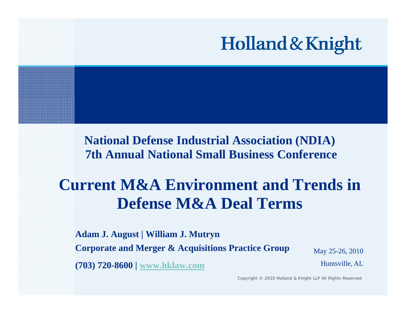

**National Defense Industrial Association (NDIA) 7th Annual National Small Business Conference**

## **Current M&A Environment and Trends in Defense M&A Deal Terms**

**Adam J. August | William J. Mutryn Corporate and Merger & Acquisitions Practice Group** May 25-26, 2010 **(703) 720-8600 | www.hklaw.com** Huntsville, AL

Copyright © 2010 Holland & Knight LLP All Rights Reserved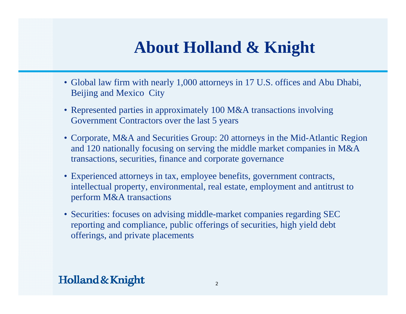# **About Holland & Knight**

- Global law firm with nearly 1,000 attorneys in 17 U.S. offices and Abu Dhabi, Beijing and Mexico City
- Represented parties in approximately 100 M&A transactions involving Government Contractors over the last 5 years
- Corporate, M&A and Securities Group: 20 attorneys in the Mid-Atlantic Region and 120 nationally focusing on serving the middle market companies in M&A transactions, securities, finance and corporate governance
- Experienced attorneys in tax, employee benefits, government contracts, intellectual property, environmental, real estate, employment and antitrust to perform M&A transactions
- Securities: focuses on advising middle-market companies regarding SEC reporting and compliance, public offerings of securities, high yield debt offerings, and private placements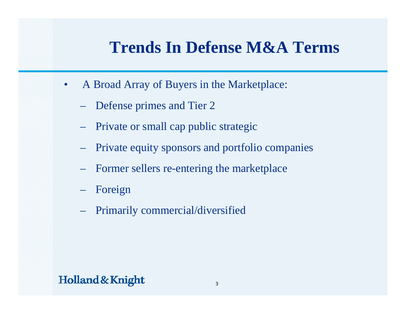- • A Broad Array of Buyers in the Marketplace:
	- Defense primes and Tier 2
	- Private or small cap public strategic
	- Private equity sponsors and portfolio companies
	- Former sellers re-entering the marketplace
	- Foreign
	- Primaril y commercial/diversifie d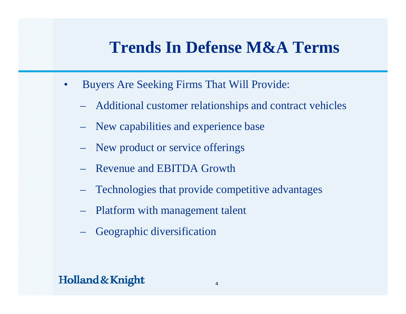- • Buyers Are Seeking Firms That Will Provide:
	- Additional customer relationships and contract vehicles
	- New capabilities and experience base
	- New product or service offerings
	- Revenue and EBITDA Growth
	- Technologies that provide competitive advantages
	- Platform with mana gement talent
	- Geographic diversification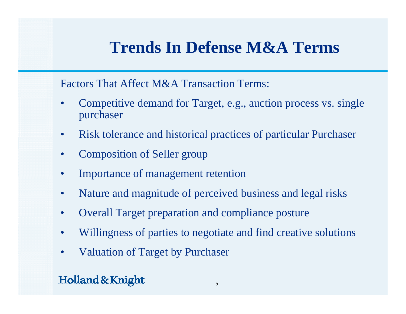Factors That Affect M&A Transaction Terms:

- • Competitive demand for Tar get, e. g., auction process vs. sin gle purchaser
- $\bullet$ Risk tolerance and historical practices of particular Purchaser
- $\bullet$ Composition of Seller group
- •Importance of management retention
- •Nature and magnitude of perceived business and legal risks
- $\bullet$ Overall Target preparation and compliance posture
- •Willingness of parties to negotiate and find creative solutions
- $\bullet$ Valuation of Target by Purchaser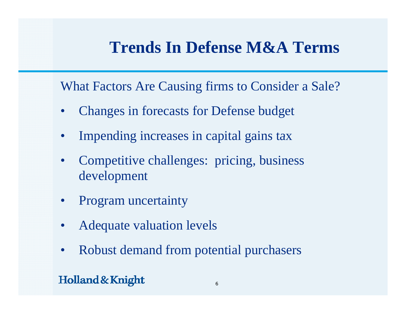What Factors Are Causing firms to Consider a Sale?

- •Changes in forecasts for Defense budget
- •Impending increases in capital gains tax
- • Competitive challenges: pricing, business development
- •Program uncertainty
- •Adequate valuation levels
- $\bullet$ Robust demand from potential purchasers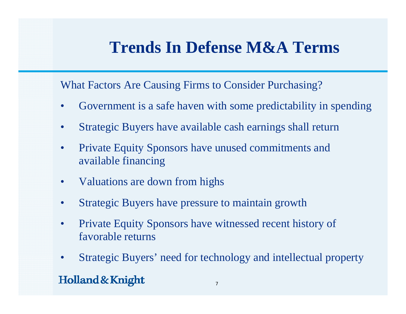What Factors Are Causing Firms to Consider Purchasing?

- •Government is a safe haven with some predictability in spending
- $\bullet$ Strategic Buyers have available cash earnings shall return
- $\bullet$  Private Equity Sponsors have unused commitments and available financing
- $\bullet$ Valuations are down from hi ghs
- •Strategic Buyers have pressure to maintain growth
- • Private Equity Sponsors have witnessed recent history of favorable returns
- Strategic Buyers' need for technology and intellectual property  $\bullet$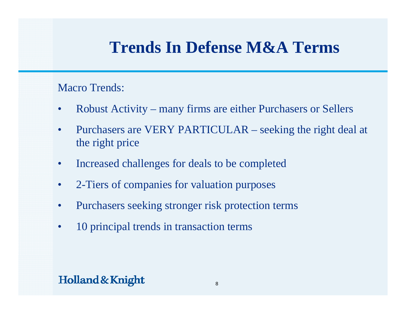#### Macro Trends:

- •Robust Activity – many firms are either Purchasers or Sellers
- $\bullet$  Purchasers are VERY PARTICULAR – seeking the right deal at the ri ght price
- •Increased challenges for deals to be completed
- •2-Tiers of companies for valuation purposes
- $\bullet$ Purchasers seeking stronger risk protection terms
- •10 principal trends in transaction terms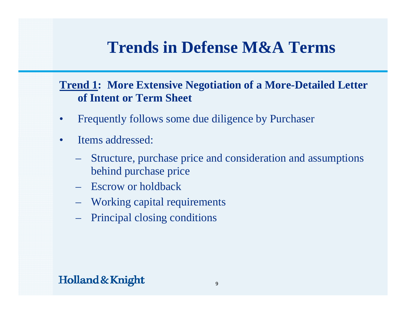#### **Trend 1: More Extensive Negotiation of a More-Detailed Letter of Intent or Term Sheet**

- •Frequently follows some due diligence by Purchaser
- •• Items addressed:
	- Structure, purchase price and consideration and assumptions behind purchase price
	- Escrow or holdback
	- Working capital requirements
	- Principal closing conditions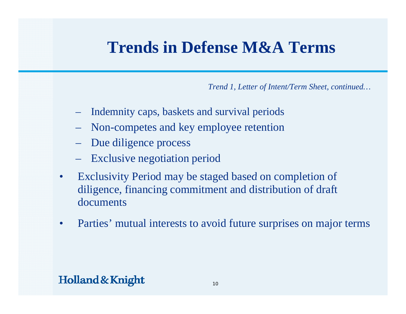*Trend 1, Letter of Intent/Term Sheet, continued…*

- Indemnity caps, baskets and survival periods
- Non-competes and key employee retention
- Due dili gence process
- Exclusive negotiation period
- • Exclusivity Period may be staged based on completion of diligence, financing commitment and distribution of draft documents
- •Parties' mutual interests to avoid future surprises on major terms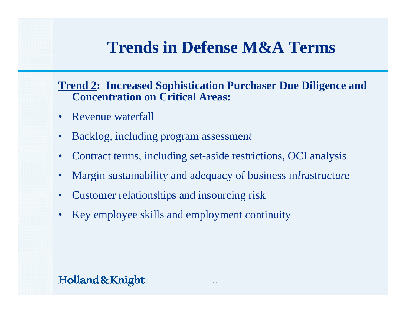#### **Trend 2: Increased Sophistication Purchaser Due Diligence and Concentration on Critical Areas:**

- Revenue waterfall
- •Backlog, including program assessment
- $\bullet$ Contract terms, including set-aside restrictions, OCI analysis
- •Margin sustainability and adequacy of business infrastructure
- Customer relationships and insourcing risk
- $\bullet$ Key employee skills and employment continuity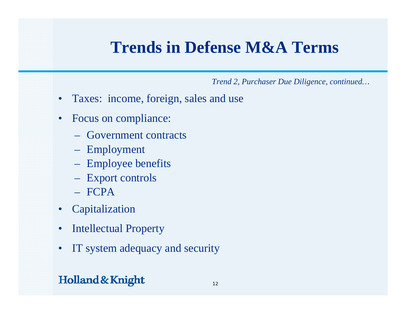*Trend 2, Purchaser Due Diligence, continued…*

- Taxes: income, foreign, sales and use
- Focus on compliance:
	- Government contracts
	- Employment
	- Employee benefits
	- Export controls
	- FCPA
- Capitalization
- $\bullet$ Intellectual Property
- $\bullet$ IT system adequacy and security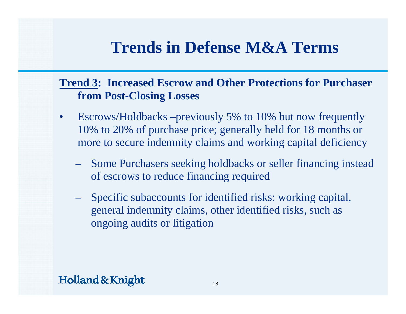### **Trend 3: Increased Escrow and Other Protections for Purchaser from Post -Closing Losses Closing**

- $\bullet$  Escrows/Holdbacks –previously 5% to 10% but now frequently 10% to 20% of purchase price; generally held for 18 months or more to secure indemnit y claims and workin g capital deficienc y
	- Some Purchasers seeking holdbacks or seller financing instead of escrows to reduce financing required
	- Specific subaccounts for identified risks: working capital, general indemnity claims, other identified risks, such as ongoing audits or litigation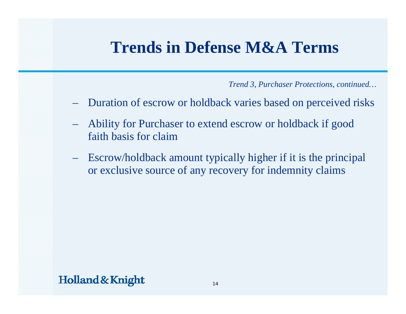*Trend 3, Purchaser Protections, continued…*

- Duration of escrow or holdback varies based on perceived risks
- $\mathcal{L}_{\mathcal{A}}$  Ability for Purchaser to extend escrow or holdback if good faith basis for claim
- $\mathcal{L}_{\mathcal{A}}$  Escrow/holdback amount typically higher if it is the principal or exclusive source of any recovery for indemnity claims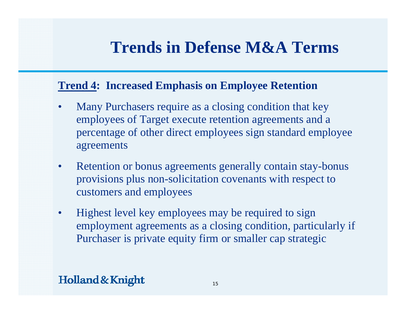#### **Trend 4: Increased Emphasis on Employee Retention**

- • Many Purchasers require as a closing condition that key employees of Target execute retention agreements and a percentage of other direct employees sign standard employee agreements
- $\bullet$  Retention or bonus agreements generally contain stay-bonus provisions plus non-solicitation covenants with respect to customers and employees
- $\bullet$ Highest level key employees may be required to sign employment agreements as a closing condition, particularly if Purchaser is private equity firm or smaller cap strategic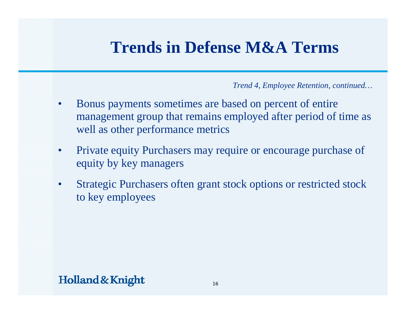*Trend 4, Employee Retention, continued…*

- • Bonus pa yments sometimes are based on percent of entire management group that remains employed after period of time as well as other performance metrics
- • Private equity Purchasers may require or encourage purchase of equity by key managers
- $\bullet$  Strategic Purchasers often grant stock options or restricted stock to key employees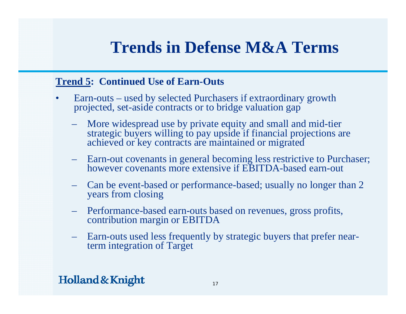#### **Trend 5: Continued Use of Earn-Outs**

- •• Earn-outs – used by selected Purchasers if extraordinary growth projected, set-aside contracts or to bridge valuation gap
	- More widespread use by private equity and small and mid-tier strategic buyers willing to pay upside if financial projections are achieved or key contracts are maintained or migrate d
	- Earn-out covenants in general becoming less restrictive to Purchaser; however covenants more extensive if EBITDA-based earn-out
	- – Can be event-based or performance-based; usually no longer than 2 years from closing
	- Performance-based earn-outs based on revenues, gross profits, contribution margin or EBITDA
	- – Earn-outs used less frequently by strategic buyers that prefer nearterm integration of Target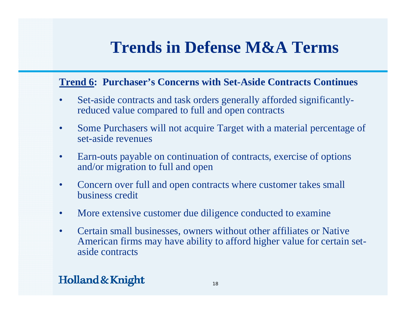#### **Trend 6: Purchaser's Concerns with Set-Aside Contracts Continues**

- •• Set-aside contracts and task orders generally afforded significantlyreduced value compared to full and open contracts
- $\bullet$  Some Purchasers will not acquire Target with a material percentage of set-aside revenues
- • Earn-outs payable on continuation of contracts, exercise of options and/or migration to full and open
- • Concern over full and open contracts where customer takes small business credit
- •More extensive customer due diligence conducted to examine
- • Certain small businesses, owners without other affiliates or Native American firms may have ability to afford higher value for certain setaside contracts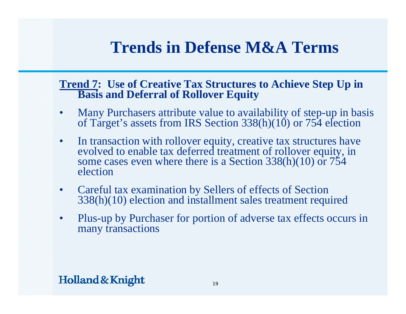#### **Trend 7: Use of Creative Tax Structures to Achieve Step Up in Basis and Deferral of Rollover Equity**

- •Many Purchasers attribute value to availability of step-up in basis of Target's assets from IRS Section 338(h)(10) or 754 election
- $\bullet$ In transaction with rollover equity, creative tax structures have evolved to enable tax deferred treatment of rollover equity, in some cases even where there is a Section 338(h)(10) or 754 election
- •Careful tax examination by Sellers of effects of Section 338(h)(10) election and installment sales treatment required
- •• Plus-up by Purchaser for portion of adverse tax effects occurs in many transactions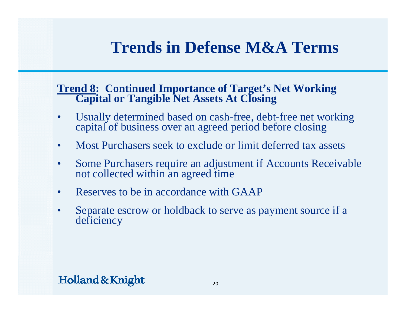#### **Trend 8: Continued Importance of Target's Net Working Capital or Tangible Net Assets At Closing**

- •Usually determined based on cash-free, debt-free net working capital of business over an agreed period before closing
- •Most Purchasers seek to exclude or limit deferred tax assets
- •Some Purchasers require an adjustment if Accounts Receivable not collected within an agree<sup>d</sup> time
- •Reserves to be in accordance with GAAP
- •Separate escrow or holdback to serve as pay Separate escrow or holdback to serve as payment source if a<br>deficiency cy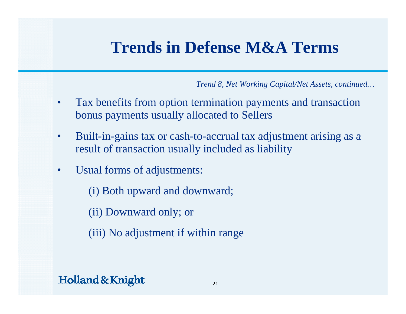*Trend 8, Net Working Capital/Net Assets, continued…*

- • Tax benefits from option termination pa yments and transaction bonus payments usually allocated to Sellers
- •• Built-in-gains tax or cash-to-accrual tax adjustment arising as a result of transaction usually included as liability
- • Usual forms of adjustments:
	- (i) Both upward and downward;
	- (ii) Downward only; or
	- (iii) No adjustment if within range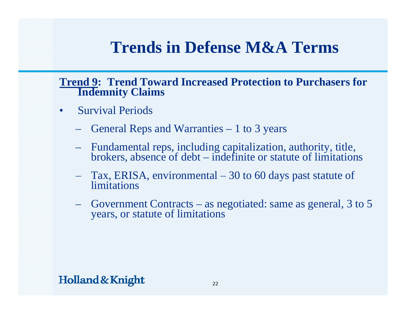#### **Trend 9: Trend Toward Increased Protection to Purchasers for Indemnit y Claims**

- • Survival Periods
	- General Reps and Warranties 1 to 3 years
	- Fundamental reps, including capitalization, authority, title, brokers, absence of debt indefinite or statute of limitations
	- Tax, ERISA, environmental Tax, ERISA, environmental – 30 to 60 days past statute of<br> limitations
	- Government Contracts as negotiated: same as general, 3 to 5 years, or statute of limitations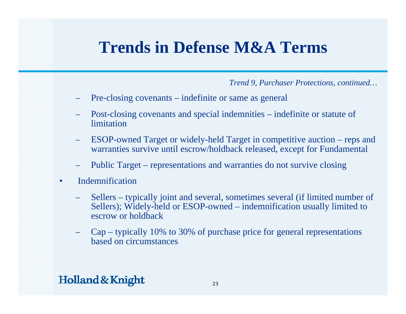*Trend 9, Purchaser Protections, continued…*

- Pre-closing covenants indefinite or same as general
- Post-closing covenants and special indemnities indefinite or statute of limitation
- ESOP-owned Target or widely-held Target in competitive auction reps and warranties survive until escrow/holdback released, except for Fundamental
- Public Target representations and warranties do not survive closing
- $\bullet$  Indemnification
	- Sellers typically joint and several, sometimes several (if limited number of Sellers); Widely-held or ESOP-owned – indemnification usually limited to escrow or holdback
	- Cap typically 10% to 30% of purchase price for general representations based on circumstances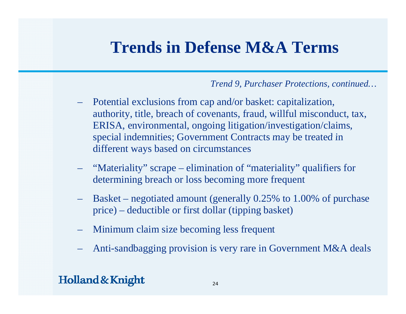#### *Trend 9, Purchaser Protections, continued…*

- – Potential exclusions from cap and/or basket: capitalization, authority, title, breach of covenants, fraud, willful misconduct, tax, ERISA, environmental, ongoing litigation/investigation/claims, special indemnities; Government Contracts may be treated in different ways based on circumstances
- "Materiality" scrape elimination of "materiality" qualifiers for determining breach or loss becoming more frequent
- Basket negotiated amount (generally 0.25% to 1.00% of purchase price) – deductible or first dollar (tipping basket)
- Minimum claim size becoming less frequent
- Anti-sandbagging provision is very rare in Government M&A deals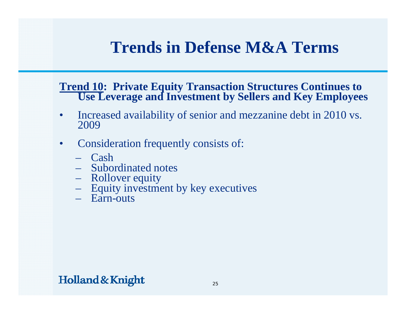#### **Trend 10: Private Equity Transaction Structures Continues to Use Leverage and Investment by Sellers and Key Employees**

- • Increased availability of senior and mezzanine debt in 2010 vs. 2009
- • Consideration frequentl y consists of:
	- Cash
	- Subordinated notes
	- Rollover equity
	- Equity investment by key executives
	- Earn-outs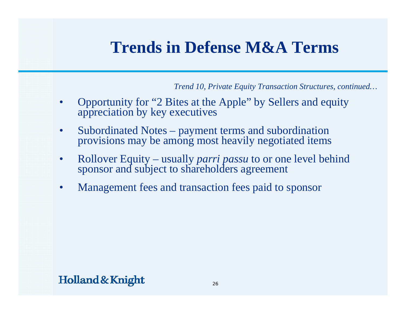*Trend 10, Private Equity Transaction Structures, continued…*

- •Opportunity for "2 Bites at the Apple" by Sellers and equity appreciation by key executives
- •Subordinated Notes – payment terms and subordination<br>provisions may be among most heavily negotiated items
- •Rollover Equity – usually *parri passu* to or one level behind sponsor and subject to shareholders agreement
- $\bullet$ Management fees and transaction fees paid to sponsor